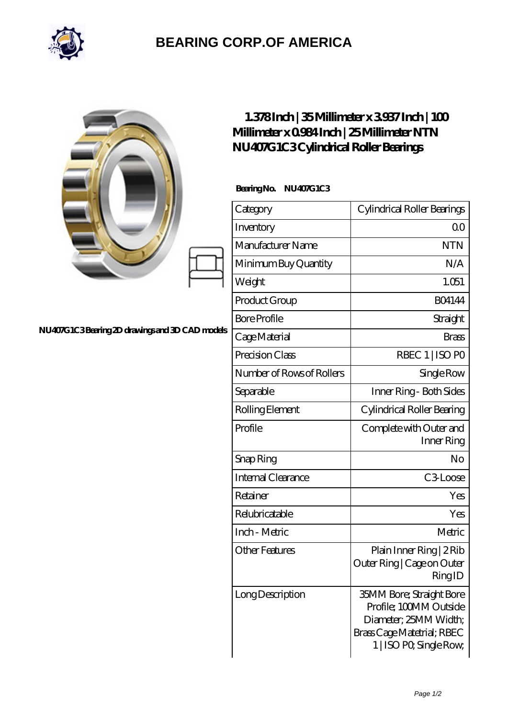

## **[BEARING CORP.OF AMERICA](https://m.bluemondayreview.com)**

|                                                | $1.378$ Inch   35Millimeter x 3937 Inch   100<br>Millimeter x 0984 Inch   25 Millimeter NTN<br>NU407G1C3Cylindrical Roller Bearings |                                                                                                                                             |
|------------------------------------------------|-------------------------------------------------------------------------------------------------------------------------------------|---------------------------------------------------------------------------------------------------------------------------------------------|
|                                                | BearingNo.<br><b>NU407G1C3</b>                                                                                                      |                                                                                                                                             |
|                                                | Category                                                                                                                            | Cylindrical Roller Bearings                                                                                                                 |
|                                                | Inventory                                                                                                                           | QO                                                                                                                                          |
|                                                | Manufacturer Name                                                                                                                   | <b>NTN</b>                                                                                                                                  |
|                                                | Minimum Buy Quantity                                                                                                                | N/A                                                                                                                                         |
|                                                | Weight                                                                                                                              | 1.051                                                                                                                                       |
|                                                | Product Group                                                                                                                       | <b>BO4144</b>                                                                                                                               |
|                                                | <b>Bore Profile</b>                                                                                                                 | Straight                                                                                                                                    |
| NU407G1C3Bearing 2D drawings and 3D CAD models | Cage Material                                                                                                                       | <b>Brass</b>                                                                                                                                |
|                                                | Precision Class                                                                                                                     | RBEC 1   ISO PO                                                                                                                             |
|                                                | Number of Rows of Rollers                                                                                                           | Single Row                                                                                                                                  |
|                                                | Separable                                                                                                                           | Inner Ring - Both Sides                                                                                                                     |
|                                                | Rolling Element                                                                                                                     | Cylindrical Roller Bearing                                                                                                                  |
|                                                | Profile                                                                                                                             | Complete with Outer and<br>Inner Ring                                                                                                       |
|                                                | Snap Ring                                                                                                                           | No                                                                                                                                          |
|                                                | Internal Clearance                                                                                                                  | C3Loose                                                                                                                                     |
|                                                | Retainer                                                                                                                            | Yes                                                                                                                                         |
|                                                | Relubricatable                                                                                                                      | Yes                                                                                                                                         |
|                                                | Inch - Metric                                                                                                                       | Metric                                                                                                                                      |
|                                                | <b>Other Features</b>                                                                                                               | Plain Inner Ring   2 Rib<br>Outer Ring   Cage on Outer<br>RingID                                                                            |
|                                                | Long Description                                                                                                                    | <b>35MM Bore; Straight Bore</b><br>Profile; 100MM Outside<br>Diameter; 25MM Width;<br>Brass Cage Matetrial; RBEC<br>1   ISO PO, Single Row, |